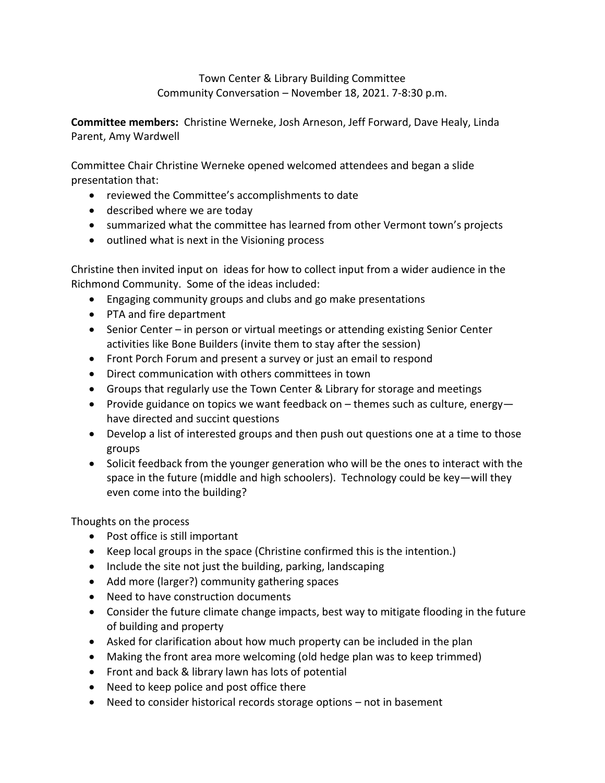Town Center & Library Building Committee Community Conversation – November 18, 2021. 7-8:30 p.m.

**Committee members:** Christine Werneke, Josh Arneson, Jeff Forward, Dave Healy, Linda Parent, Amy Wardwell

Committee Chair Christine Werneke opened welcomed attendees and began a slide presentation that:

- reviewed the Committee's accomplishments to date
- described where we are today
- summarized what the committee has learned from other Vermont town's projects
- outlined what is next in the Visioning process

Christine then invited input on ideas for how to collect input from a wider audience in the Richmond Community. Some of the ideas included:

- Engaging community groups and clubs and go make presentations
- PTA and fire department
- Senior Center in person or virtual meetings or attending existing Senior Center activities like Bone Builders (invite them to stay after the session)
- Front Porch Forum and present a survey or just an email to respond
- Direct communication with others committees in town
- Groups that regularly use the Town Center & Library for storage and meetings
- Provide guidance on topics we want feedback on  $-$  themes such as culture, energyhave directed and succint questions
- Develop a list of interested groups and then push out questions one at a time to those groups
- Solicit feedback from the younger generation who will be the ones to interact with the space in the future (middle and high schoolers). Technology could be key—will they even come into the building?

Thoughts on the process

- Post office is still important
- Keep local groups in the space (Christine confirmed this is the intention.)
- Include the site not just the building, parking, landscaping
- Add more (larger?) community gathering spaces
- Need to have construction documents
- Consider the future climate change impacts, best way to mitigate flooding in the future of building and property
- Asked for clarification about how much property can be included in the plan
- Making the front area more welcoming (old hedge plan was to keep trimmed)
- Front and back & library lawn has lots of potential
- Need to keep police and post office there
- Need to consider historical records storage options not in basement